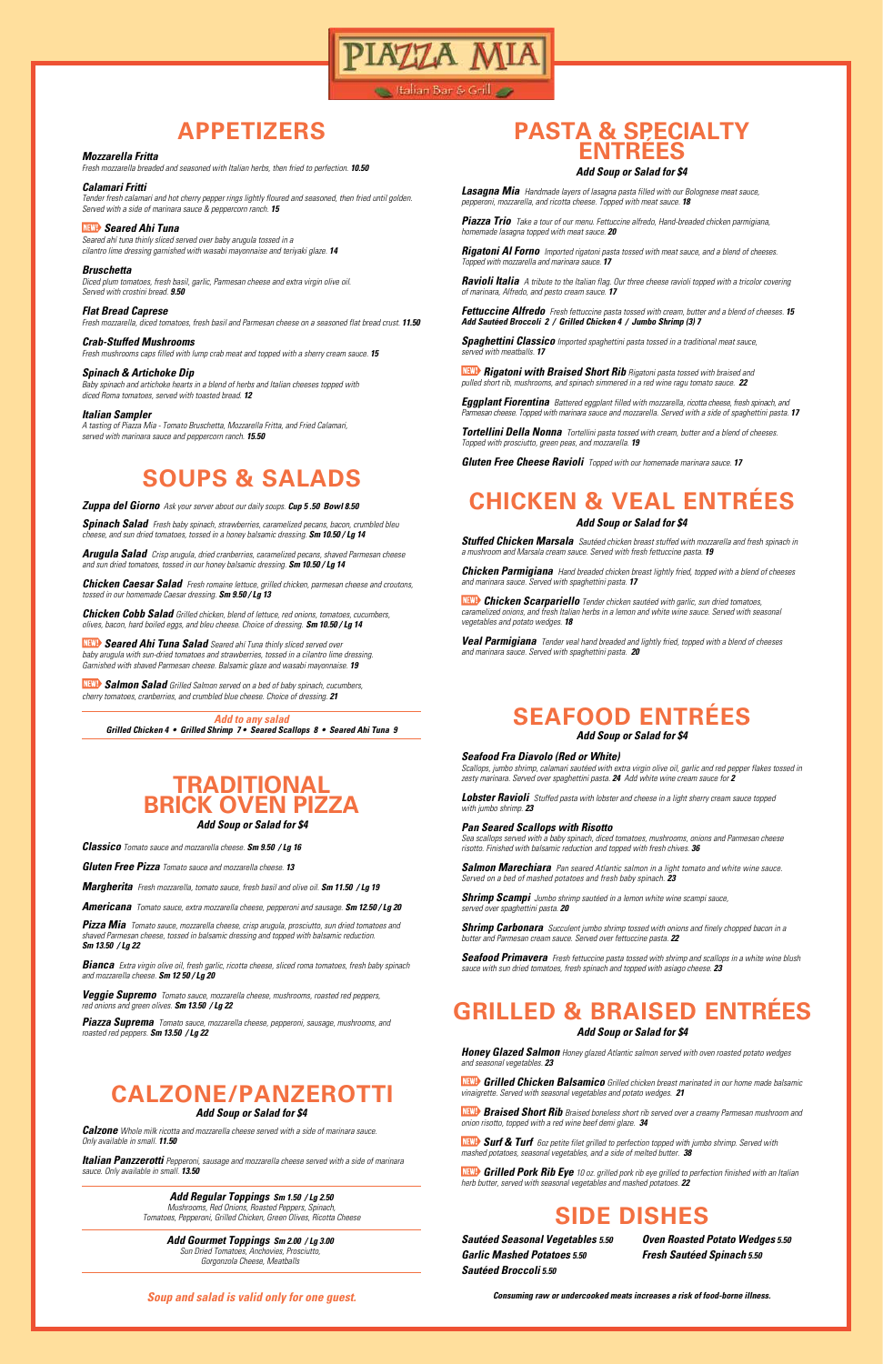**Lalian Bar & Grill** 

AZZA N

#### *Mozzarella Fritta*

*Fresh mozzarella breaded and seasoned with Italian herbs, then fried to perfection. 10.50*

*Calamari Fritti Tender fresh calamari and hot cherry pepper rings lightly floured and seasoned, then fried until golden. Served with a side of marinara sauce & peppercorn ranch. 15*

#### *Seared Ahi Tuna*

*Seared ahí tuna thinly sliced served over baby arugula tossed in a cilantro lime dressing garnished with wasabi mayonnaise and teriyaki glaze. 14*

*Bruschetta* 

*Diced plum tomatoes, fresh basil, garlic, Parmesan cheese and extra virgin olive oil. Served with crostini bread. 9.50*

*Flat Bread Caprese* 

*Fresh mozzarella, diced tomatoes, fresh basil and Parmesan cheese on a seasoned flat bread crust. 11.50*

#### *Crab-Stuffed Mushrooms*

*Fresh mushrooms caps filled with lump crab meat and topped with a sherry cream sauce. 15*

#### *Spinach & Artichoke Dip*

*Baby spinach and artichoke hearts in a blend of herbs and Italian cheeses topped with diced Roma tomatoes, served with toasted bread. 12*

#### *Italian Sampler*

*A tasting of Piazza Mia - Tomato Bruschetta, Mozzarella Fritta, and Fried Calamari, served with marinara sauce and peppercorn ranch. 15.50*

*Riggith Rigatoni with Braised Short Rib Rigatoni pasta tossed with braised and pulled short rib, mushrooms, and spinach simmered in a red wine ragu tomato sauce. 22*

## **APPETIZERS**

#### *Soup and salad is valid only for one guest.*

*Lasagna Mia Handmade layers of lasagna pasta filled with our Bolognese meat sauce, pepperoni, mozzarella, and ricotta cheese. Topped with meat sauce. 18*

*Piazza Trio Take a tour of our menu. Fettuccine alfredo, Hand-breaded chicken parmigiana, homemade lasagna topped with meat sauce. 20*

*Rigatoni Al Forno Imported rigatoni pasta tossed with meat sauce, and a blend of cheeses. Topped with mozzarella and marinara sauce. 17*

*Ravioli Italia A tribute to the Italian flag. Our three cheese ravioli topped with a tricolor covering of marinara, Alfredo, and pesto cream sauce. 17*

*Fettuccine Alfredo Fresh fettuccine pasta tossed with cream, butter and a blend of cheeses. 15 Add Sautéed Broccoli 2 / Grilled Chicken 4 / Jumbo Shrimp (3) 7*

*Spaghettini Classico Imported spaghettini pasta tossed in a traditional meat sauce, served with meatballs. 17*

*Eggplant Fiorentina Battered eggplant filled with mozzarella, ricotta cheese, fresh spinach, and Parmesan cheese. Topped with marinara sauce and mozzarella. Served with a side of spaghettini pasta. 17*

*Tortellini Della Nonna Tortellini pasta tossed with cream, butter and a blend of cheeses. Topped with prosciutto, green peas, and mozzarella. 19*

*Gluten Free Cheese Ravioli Topped with our homemade marinara sauce. 17*

#### *Add Soup or Salad for \$4*

# **PASTA & SPECIALTY ENTRÉES**

*Sautéed Seasonal Vegetables 5.50 Garlic Mashed Potatoes 5.50 Sautéed Broccoli 5.50*

*Oven Roasted Potato Wedges 5.50 Fresh Sautéed Spinach 5.50*

### **SIDE DISHES**

# **SOUPS & SALADS**

*Zuppa del Giorno Ask your server about our daily soups. Cup 5 .50 Bowl 8.50*

*Spinach Salad Fresh baby spinach, strawberries, caramelized pecans, bacon, crumbled bleu cheese, and sun dried tomatoes, tossed in a honey balsamic dressing. Sm 10.50 / Lg 14*

*Arugula Salad Crisp arugula, dried cranberries, caramelized pecans, shaved Parmesan cheese and sun dried tomatoes, tossed in our honey balsamic dressing. Sm 10.50 / Lg 14*

*Chicken Caesar Salad Fresh romaine lettuce, grilled chicken, parmesan cheese and croutons, tossed in our homemade Caesar dressing. Sm 9.50 / Lg 13*

*Chicken Cobb Salad Grilled chicken, blend of lettuce, red onions, tomatoes, cucumbers, olives, bacon, hard boiled eggs, and bleu cheese. Choice of dressing. Sm 10.50 / Lg 14*

 *Seared Ahi Tuna Salad Seared ahí Tuna thinly sliced served over baby arugula with sun-dried tomatoes and strawberries, tossed in a cilantro lime dressing. Garnished with shaved Parmesan cheese. Balsamic glaze and wasabi mayonnaise. 19*

 *Salmon Salad Grilled Salmon served on a bed of baby spinach, cucumbers, cherry tomatoes, cranberries, and crumbled blue cheese. Choice of dressing. 21*

*Add to any salad*

*Grilled Chicken 4 • Grilled Shrimp 7 • Seared Scallops 8 • Seared Ahi Tuna 9*

#### *Seafood Fra Diavolo (Red or White)*

*Scallops, jumbo shrimp, calamari sautéed with extra virgin olive oil, garlic and red pepper flakes tossed in zesty marinara. Served over spaghettini pasta. 24 Add white wine cream sauce for 2*

*Lobster Ravioli Stuffed pasta with lobster and cheese in a light sherry cream sauce topped with jumbo shrimp. 23*

#### *Pan Seared Scallops with Risotto*

*Sea scallops served with a baby spinach, diced tomatoes, mushrooms, onions and Parmesan cheese risotto. Finished with balsamic reduction and topped with fresh chives. 36*

*Salmon Marechiara Pan seared Atlantic salmon in a light tomato and white wine sauce. Served on a bed of mashed potatoes and fresh baby spinach. 23*

*Shrimp Scampi Jumbo shrimp sautéed in a lemon white wine scampi sauce, served over spaghettini pasta. 20*

*Shrimp Carbonara Succulent jumbo shrimp tossed with onions and finely chopped bacon in a butter and Parmesan cream sauce. Served over fettuccine pasta. 22*

*Seafood Primavera Fresh fettuccine pasta tossed with shrimp and scallops in a white wine blush sauce with sun dried tomatoes, fresh spinach and topped with asiago cheese. 23*

# **SEAFOOD ENTRÉES**

#### *Add Soup or Salad for \$4*

*Consuming raw or undercooked meats increases a risk of food-borne illness.* 

*Honey Glazed Salmon Honey glazed Atlantic salmon served with oven roasted potato wedges and seasonal vegetables. 23*

 *Grilled Chicken Balsamico Grilled chicken breast marinated in our home made balsamic vinaigrette. Served with seasonal vegetables and potato wedges. 21*

 *Braised Short Rib Braised boneless short rib served over a creamy Parmesan mushroom and onion risotto, topped with a red wine beef demi glaze. 34*

 *Surf & Turf 6oz petite filet grilled to perfection topped with jumbo shrimp. Served with mashed potatoes, seasonal vegetables, and a side of melted butter. 38*

 *Grilled Pork Rib Eye 10 oz. grilled pork rib eye grilled to perfection finished with an Italian herb butter, served with seasonal vegetables and mashed potatoes. 22*

# **GRILLED & BRAISED ENTRÉES**

#### *Add Soup or Salad for \$4*

*Stuffed Chicken Marsala Sautéed chicken breast stuffed with mozzarella and fresh spinach in a mushroom and Marsala cream sauce. Served with fresh fettuccine pasta. 19*

*Chicken Parmigiana Hand breaded chicken breast lightly fried, topped with a blend of cheeses and marinara sauce. Served with spaghettini pasta. 17*

 *Chicken Scarpariello Tender chicken sautéed with garlic, sun dried tomatoes, caramelized onions, and fresh Italian herbs in a lemon and white wine sauce. Served with seasonal vegetables and potato wedges. 18*

*Veal Parmigiana Tender veal hand breaded and lightly fried, topped with a blend of cheeses and marinara sauce. Served with spaghettini pasta. 20*

# **CHICKEN & VEAL ENTRÉES**

#### *Add Soup or Salad for \$4*

*Classico Tomato sauce and mozzarella cheese. Sm 9.50 / Lg 16*

*Gluten Free Pizza Tomato sauce and mozzarella cheese. 13*

*Margherita Fresh mozzarella, tomato sauce, fresh basil and olive oil. Sm 11.50 / Lg 19*

*Americana Tomato sauce, extra mozzarella cheese, pepperoni and sausage. Sm 12.50 / Lg 20*

*Pizza Mia Tomato sauce, mozzarella cheese, crisp arugula, prosciutto, sun dried tomatoes and shaved Parmesan cheese, tossed in balsamic dressing and topped with balsamic reduction. Sm 13.50 / Lg 22*

*Bianca Extra virgin olive oil, fresh garlic, ricotta cheese, sliced roma tomatoes, fresh baby spinach and mozzarella cheese. Sm 12 50 / Lg 20*

*Veggie Supremo Tomato sauce, mozzarella cheese, mushrooms, roasted red peppers,* 

*red onions and green olives. Sm 13.50 / Lg 22*

*Piazza Suprema Tomato sauce, mozzarella cheese, pepperoni, sausage, mushrooms, and roasted red peppers. Sm 13.50 / Lg 22*

#### *Add Soup or Salad for \$4*

# **TRADITIONAL BRICK OVEN PIZZA**

#### *Add Regular Toppings Sm 1.50 / Lg 2.50*

*Mushrooms, Red Onions, Roasted Peppers, Spinach, Tomatoes, Pepperoni, Grilled Chicken, Green Olives, Ricotta Cheese*

#### *Add Gourmet Toppings Sm 2.00 / Lg 3.00*

*Sun Dried Tomatoes, Anchovies, Prosciutto, Gorgonzola Cheese, Meatballs*

*Calzone Whole milk ricotta and mozzarella cheese served with a side of marinara sauce. Only available in small. 11.50*

*Italian Panzzerotti Pepperoni, sausage and mozzarella cheese served with a side of marinara sauce. Only available in small. 13.50*

### **CALZONE/PANZEROTTI**

#### *Add Soup or Salad for \$4*